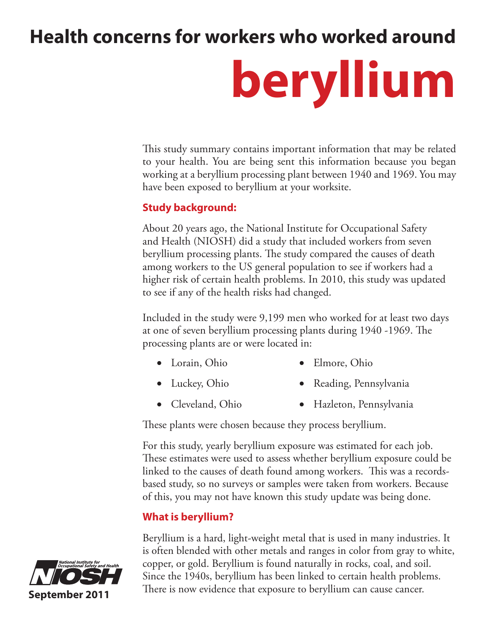# **Health concerns for workers who worked around**

# **beryllium**

This study summary contains important information that may be related to your health. You are being sent this information because you began working at a beryllium processing plant between 1940 and 1969. You may have been exposed to beryllium at your worksite.

#### **Study background:**

About 20 years ago, the National Institute for Occupational Safety and Health (NIOSH) did a study that included workers from seven beryllium processing plants. The study compared the causes of death among workers to the US general population to see if workers had a higher risk of certain health problems. In 2010, this study was updated to see if any of the health risks had changed.

Included in the study were 9,199 men who worked for at least two days at one of seven beryllium processing plants during 1940 -1969. The processing plants are or were located in:

- Lorain, Ohio Elmore, Ohio
- Luckey, Ohio Reading, Pennsylvania
- Cleveland, Ohio • Hazleton, Pennsylvania

These plants were chosen because they process beryllium.

For this study, yearly beryllium exposure was estimated for each job. These estimates were used to assess whether beryllium exposure could be linked to the causes of death found among workers. This was a recordsbased study, so no surveys or samples were taken from workers. Because of this, you may not have known this study update was being done.

# **What is beryllium?**

Beryllium is a hard, light-weight metal that is used in many industries. It is often blended with other metals and ranges in color from gray to white, copper, or gold. Beryllium is found naturally in rocks, coal, and soil. Since the 1940s, beryllium has been linked to certain health problems. There is now evidence that exposure to beryllium can cause cancer.

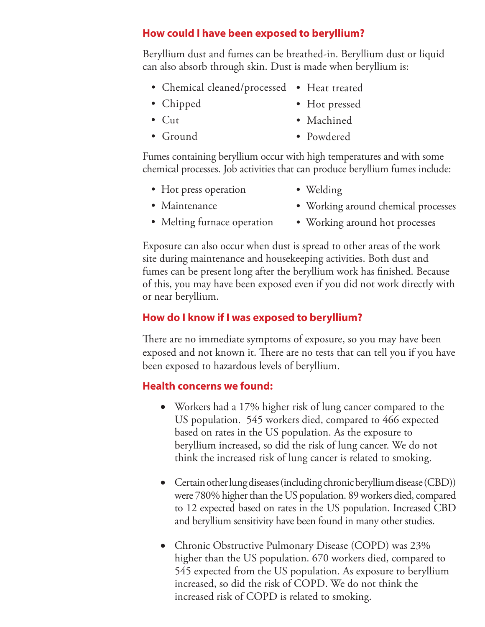#### **How could I have been exposed to beryllium?**

Beryllium dust and fumes can be breathed-in. Beryllium dust or liquid can also absorb through skin. Dust is made when beryllium is:

- Chemical cleaned/processed Heat treated
- Chipped

• Cut

- 
- Hot pressed • Machined
- Ground • Powdered

Fumes containing beryllium occur with high temperatures and with some chemical processes. Job activities that can produce beryllium fumes include:

- Hot press operation
- Welding

• Maintenance

- Working around chemical processes
- Melting furnace operation
- Working around hot processes

Exposure can also occur when dust is spread to other areas of the work site during maintenance and housekeeping activities. Both dust and fumes can be present long after the beryllium work has finished. Because of this, you may have been exposed even if you did not work directly with or near beryllium.

### **How do I know if I was exposed to beryllium?**

There are no immediate symptoms of exposure, so you may have been exposed and not known it. There are no tests that can tell you if you have been exposed to hazardous levels of beryllium.

#### **Health concerns we found:**

- Workers had a 17% higher risk of lung cancer compared to the US population. 545 workers died, compared to 466 expected based on rates in the US population. As the exposure to beryllium increased, so did the risk of lung cancer. We do not think the increased risk of lung cancer is related to smoking.
- Certain other lung diseases (including chronic beryllium disease (CBD)) were 780% higher than the US population. 89 workers died, compared to 12 expected based on rates in the US population. Increased CBD and beryllium sensitivity have been found in many other studies.
- Chronic Obstructive Pulmonary Disease (COPD) was 23% higher than the US population. 670 workers died, compared to 545 expected from the US population. As exposure to beryllium increased, so did the risk of COPD. We do not think the increased risk of COPD is related to smoking.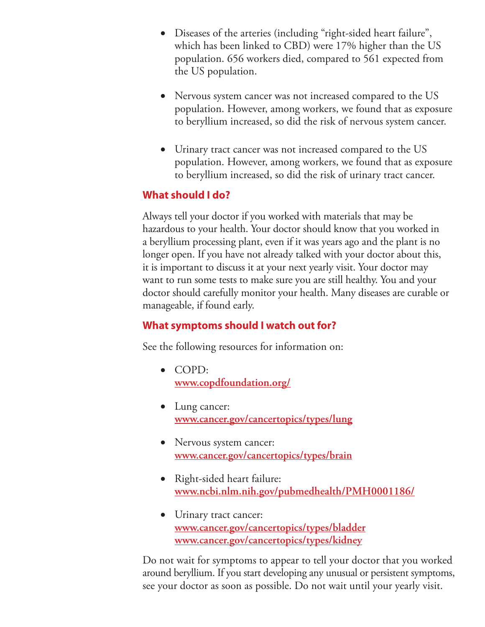- Diseases of the arteries (including "right-sided heart failure", which has been linked to CBD) were 17% higher than the US population. 656 workers died, compared to 561 expected from the US population.
- Nervous system cancer was not increased compared to the US population. However, among workers, we found that as exposure to beryllium increased, so did the risk of nervous system cancer.
- Urinary tract cancer was not increased compared to the US population. However, among workers, we found that as exposure to beryllium increased, so did the risk of urinary tract cancer.

#### **What should I do?**

Always tell your doctor if you worked with materials that may be hazardous to your health. Your doctor should know that you worked in a beryllium processing plant, even if it was years ago and the plant is no longer open. If you have not already talked with your doctor about this, it is important to discuss it at your next yearly visit. Your doctor may want to run some tests to make sure you are still healthy. You and your doctor should carefully monitor your health. Many diseases are curable or manageable, if found early.

#### **What symptoms should I watch out for?**

See the following resources for information on:

- • COPD: **www.copdfoundation.org/**
- Lung cancer: **www.cancer.gov/cancertopics/types/lung**
- Nervous system cancer: **www.cancer.gov/cancertopics/types/brain**
- Right-sided heart failure: **www.ncbi.nlm.nih.gov/pubmedhealth/PMH0001186/**
- Urinary tract cancer: **www.cancer.gov/cancertopics/types/bladder www.cancer.gov/cancertopics/types/kidney**

Do not wait for symptoms to appear to tell your doctor that you worked around beryllium. If you start developing any unusual or persistent symptoms, see your doctor as soon as possible. Do not wait until your yearly visit.